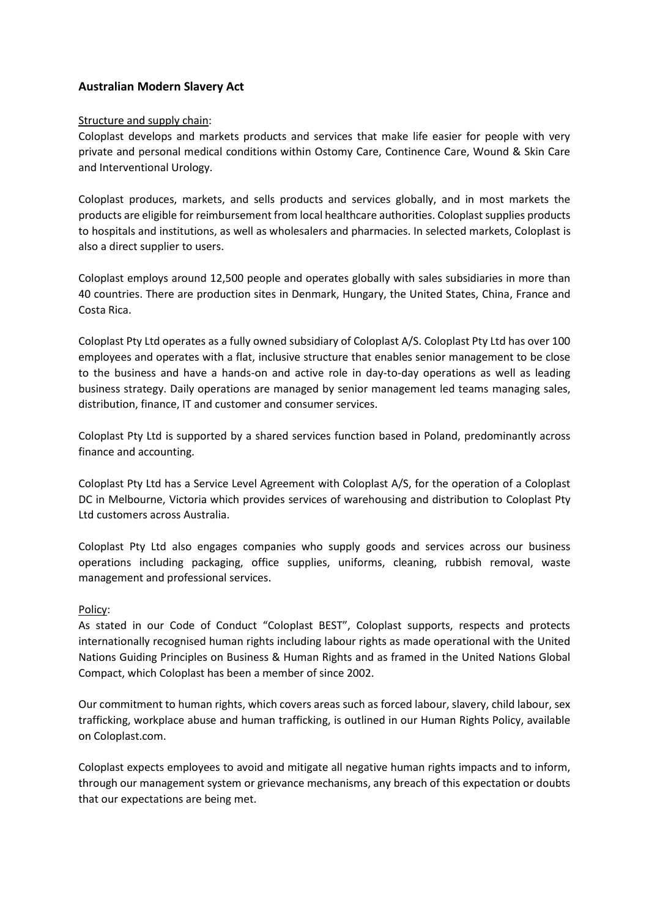# **Australian Modern Slavery Act**

### Structure and supply chain:

Coloplast develops and markets products and services that make life easier for people with very private and personal medical conditions within Ostomy Care, Continence Care, Wound & Skin Care and Interventional Urology.

Coloplast produces, markets, and sells products and services globally, and in most markets the products are eligible for reimbursement from local healthcare authorities. Coloplast supplies products to hospitals and institutions, as well as wholesalers and pharmacies. In selected markets, Coloplast is also a direct supplier to users.

Coloplast employs around 12,500 people and operates globally with sales subsidiaries in more than 40 countries. There are production sites in Denmark, Hungary, the United States, China, France and Costa Rica.

Coloplast Pty Ltd operates as a fully owned subsidiary of Coloplast A/S. Coloplast Pty Ltd has over 100 employees and operates with a flat, inclusive structure that enables senior management to be close to the business and have a hands-on and active role in day-to-day operations as well as leading business strategy. Daily operations are managed by senior management led teams managing sales, distribution, finance, IT and customer and consumer services.

Coloplast Pty Ltd is supported by a shared services function based in Poland, predominantly across finance and accounting.

Coloplast Pty Ltd has a Service Level Agreement with Coloplast A/S, for the operation of a Coloplast DC in Melbourne, Victoria which provides services of warehousing and distribution to Coloplast Pty Ltd customers across Australia.

Coloplast Pty Ltd also engages companies who supply goods and services across our business operations including packaging, office supplies, uniforms, cleaning, rubbish removal, waste management and professional services.

## Policy:

As stated in our Code of Conduct "Coloplast BEST", Coloplast supports, respects and protects internationally recognised human rights including labour rights as made operational with the United Nations Guiding Principles on Business & Human Rights and as framed in the United Nations Global Compact, which Coloplast has been a member of since 2002.

Our commitment to human rights, which covers areas such as forced labour, slavery, child labour, sex trafficking, workplace abuse and human trafficking, is outlined in our Human Rights Policy, available on Coloplast.com.

Coloplast expects employees to avoid and mitigate all negative human rights impacts and to inform, through our management system or grievance mechanisms, any breach of this expectation or doubts that our expectations are being met.